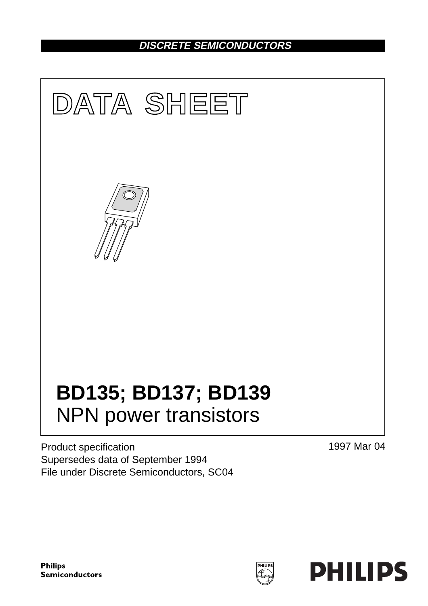# **DISCRETE SEMICONDUCTORS**



Product specification Supersedes data of September 1994 File under Discrete Semiconductors, SC04 1997 Mar 04

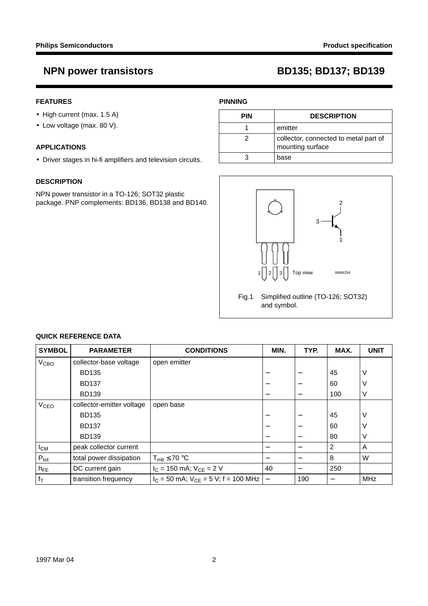## **FEATURES**

- High current (max. 1.5 A)
- Low voltage (max. 80 V).

### **APPLICATIONS**

• Driver stages in hi-fi amplifiers and television circuits.

### **DESCRIPTION**

NPN power transistor in a TO-126; SOT32 plastic package. PNP complements: BD136, BD138 and BD140.

## **PINNING**

| <b>PIN</b> | <b>DESCRIPTION</b>                                        |
|------------|-----------------------------------------------------------|
|            | emitter                                                   |
|            | collector, connected to metal part of<br>mounting surface |
|            | base                                                      |



## and symbol.

| <b>SYMBOL</b>          | <b>PARAMETER</b>          | <b>CONDITIONS</b>                          | MIN.                     | TYP. | MAX.            | <b>UNIT</b> |
|------------------------|---------------------------|--------------------------------------------|--------------------------|------|-----------------|-------------|
| V <sub>CBO</sub>       | collector-base voltage    | open emitter                               |                          |      |                 |             |
|                        | <b>BD135</b>              |                                            |                          |      | 45              | ν           |
|                        | <b>BD137</b>              |                                            |                          |      | 60              |             |
|                        | <b>BD139</b>              |                                            |                          |      | 100             | ν           |
| <b>V<sub>CEO</sub></b> | collector-emitter voltage | open base                                  |                          |      |                 |             |
|                        | <b>BD135</b>              |                                            |                          |      | 45              |             |
|                        | <b>BD137</b>              |                                            |                          |      | 60              |             |
|                        | <b>BD139</b>              |                                            |                          |      | 80              | ν           |
| $I_{CM}$               | peak collector current    |                                            |                          |      | 2               | A           |
| $P_{\text{tot}}$       | total power dissipation   | $T_{mb} \leq 70$ °C                        |                          |      | 8               | W           |
| $h_{FE}$               | DC current gain           | $I_C = 150$ mA; $V_{CE} = 2$ V             | 40                       |      | 250             |             |
| $ f_T $                | transition frequency      | $I_C$ = 50 mA; $V_{CE}$ = 5 V; f = 100 MHz | $\overline{\phantom{0}}$ | 190  | $\qquad \qquad$ | <b>MHz</b>  |

## **QUICK REFERENCE DATA**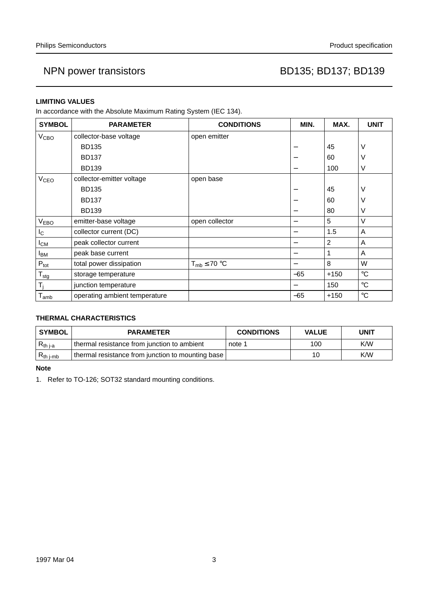### **LIMITING VALUES**

In accordance with the Absolute Maximum Rating System (IEC 134).

| <b>SYMBOL</b>          | <b>PARAMETER</b>              | <b>CONDITIONS</b>   | MIN.  | MAX.   | <b>UNIT</b>     |
|------------------------|-------------------------------|---------------------|-------|--------|-----------------|
| V <sub>CBO</sub>       | collector-base voltage        | open emitter        |       |        |                 |
|                        | <b>BD135</b>                  |                     |       | 45     | V               |
|                        | <b>BD137</b>                  |                     |       | 60     | V               |
|                        | <b>BD139</b>                  |                     | —     | 100    | V               |
| <b>V<sub>CEO</sub></b> | collector-emitter voltage     | open base           |       |        |                 |
|                        | <b>BD135</b>                  |                     |       | 45     | ν               |
|                        | <b>BD137</b>                  |                     |       | 60     | V               |
|                        | <b>BD139</b>                  |                     |       | 80     | V               |
| <b>VEBO</b>            | emitter-base voltage          | open collector      | —     | 5      | $\vee$          |
| $I_{\rm C}$            | collector current (DC)        |                     | —     | 1.5    | A               |
| $I_{CM}$               | peak collector current        |                     | —     | 2      | Α               |
| <b>I</b> BM            | peak base current             |                     |       |        | A               |
| $P_{\text{tot}}$       | total power dissipation       | $T_{mb} \leq 70$ °C |       | 8      | W               |
| $T_{\text{stg}}$       | storage temperature           |                     | $-65$ | $+150$ | $\rm ^{\circ}C$ |
| T <sub>i</sub>         | junction temperature          |                     |       | 150    | $^{\circ}C$     |
| $I_{amb}$              | operating ambient temperature |                     | $-65$ | $+150$ | $\rm ^{\circ}C$ |

## **THERMAL CHARACTERISTICS**

| <b>SYMBOL</b>  | <b>PARAMETER</b>                                  | <b>CONDITIONS</b> | <b>VALUE</b> | UNIT |  |
|----------------|---------------------------------------------------|-------------------|--------------|------|--|
| $R_{th\,j-a}$  | I thermal resistance from junction to ambient     | note 1            | 100          | K/W  |  |
| $R_{th\ j-mb}$ | thermal resistance from junction to mounting base |                   | 10           | K/W  |  |

**Note**

1. Refer to TO-126; SOT32 standard mounting conditions.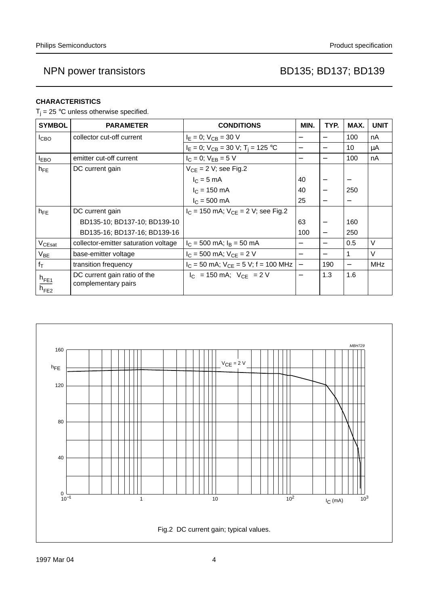## **CHARACTERISTICS**

 $T_i = 25$  °C unless otherwise specified.

| <b>SYMBOL</b>                 | <b>PARAMETER</b>                                    | <b>CONDITIONS</b>                           | MIN.                     | TYP.              | MAX.                     | <b>UNIT</b> |
|-------------------------------|-----------------------------------------------------|---------------------------------------------|--------------------------|-------------------|--------------------------|-------------|
| <b>I</b> CBO                  | collector cut-off current                           | $I_E = 0$ ; $V_{CB} = 30$ V                 |                          |                   | 100                      | nA          |
|                               |                                                     | $I_E = 0$ ; $V_{CB} = 30$ V; $T_i = 125$ °C |                          |                   | 10                       | μA          |
| $I_{EBO}$                     | emitter cut-off current                             | $I_C = 0$ ; $V_{EB} = 5 V$                  | $\overline{\phantom{0}}$ |                   | 100                      | nA          |
| $h_{FE}$                      | DC current gain                                     | $V_{CE} = 2 V$ ; see Fig.2                  |                          |                   |                          |             |
|                               |                                                     | $IC = 5 mA$                                 | 40                       |                   |                          |             |
|                               |                                                     | $I_C = 150$ mA                              | 40                       | $\qquad \qquad -$ | 250                      |             |
|                               |                                                     | $I_C = 500$ mA                              | 25                       |                   | $\overline{\phantom{m}}$ |             |
| $h_{FE}$                      | DC current gain                                     | $I_C$ = 150 mA; $V_{CF}$ = 2 V; see Fig.2   |                          |                   |                          |             |
|                               | BD135-10; BD137-10; BD139-10                        |                                             | 63                       |                   | 160                      |             |
|                               | BD135-16; BD137-16; BD139-16                        |                                             | 100                      |                   | 250                      |             |
| V <sub>CEsat</sub>            | collector-emitter saturation voltage                | $I_C = 500$ mA; $I_B = 50$ mA               |                          |                   | 0.5                      | $\vee$      |
| $V_{BE}$                      | base-emitter voltage                                | $I_C$ = 500 mA; $V_{CE}$ = 2 V              |                          |                   |                          | $\vee$      |
| $f_T$                         | transition frequency                                | $I_C = 50$ mA; $V_{CE} = 5$ V; f = 100 MHz  | $\overline{\phantom{0}}$ | 190               |                          | <b>MHz</b>  |
| $h_{\text{FE1}}$<br>$h_{FE2}$ | DC current gain ratio of the<br>complementary pairs | $ I_C $ = 150 mA; $ V_{CF} $ = 2 V          |                          | 1.3               | 1.6                      |             |

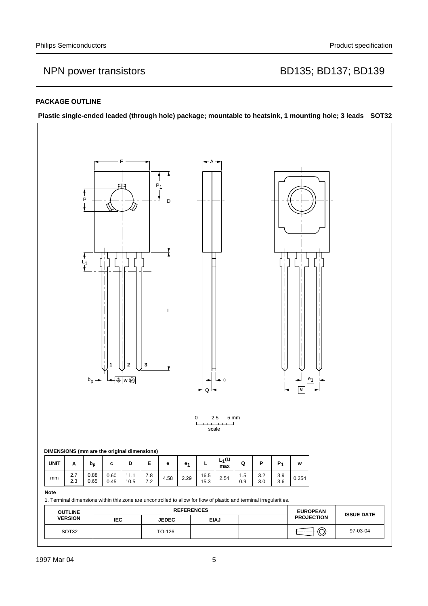### **PACKAGE OUTLINE**

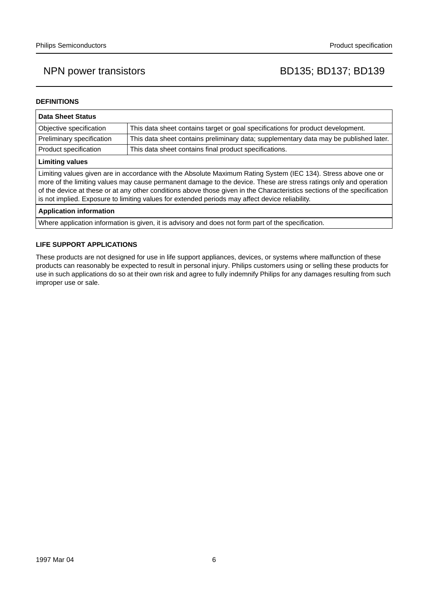### **DEFINITIONS**

| <b>Data Sheet Status</b>                                                                                                                                                                                                                                                                                                                                                                                                                                           |                                                                                       |  |  |  |
|--------------------------------------------------------------------------------------------------------------------------------------------------------------------------------------------------------------------------------------------------------------------------------------------------------------------------------------------------------------------------------------------------------------------------------------------------------------------|---------------------------------------------------------------------------------------|--|--|--|
| This data sheet contains target or goal specifications for product development.<br>Objective specification                                                                                                                                                                                                                                                                                                                                                         |                                                                                       |  |  |  |
| Preliminary specification                                                                                                                                                                                                                                                                                                                                                                                                                                          | This data sheet contains preliminary data; supplementary data may be published later. |  |  |  |
| Product specification                                                                                                                                                                                                                                                                                                                                                                                                                                              | This data sheet contains final product specifications.                                |  |  |  |
| <b>Limiting values</b>                                                                                                                                                                                                                                                                                                                                                                                                                                             |                                                                                       |  |  |  |
| Limiting values given are in accordance with the Absolute Maximum Rating System (IEC 134). Stress above one or<br>more of the limiting values may cause permanent damage to the device. These are stress ratings only and operation<br>of the device at these or at any other conditions above those given in the Characteristics sections of the specification<br>is not implied. Exposure to limiting values for extended periods may affect device reliability. |                                                                                       |  |  |  |
| Annlication information                                                                                                                                                                                                                                                                                                                                                                                                                                            |                                                                                       |  |  |  |

### **Application information**

Where application information is given, it is advisory and does not form part of the specification.

### **LIFE SUPPORT APPLICATIONS**

These products are not designed for use in life support appliances, devices, or systems where malfunction of these products can reasonably be expected to result in personal injury. Philips customers using or selling these products for use in such applications do so at their own risk and agree to fully indemnify Philips for any damages resulting from such improper use or sale.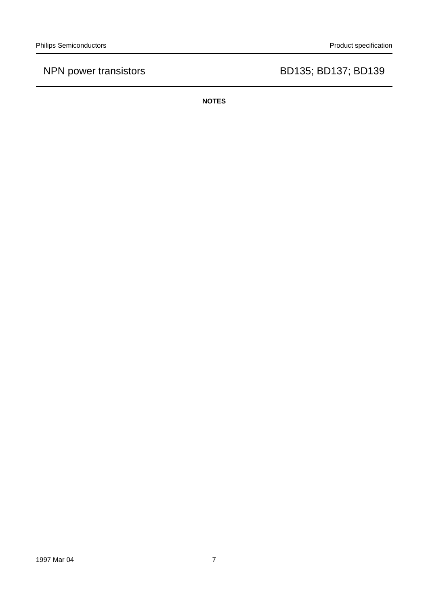**NOTES**